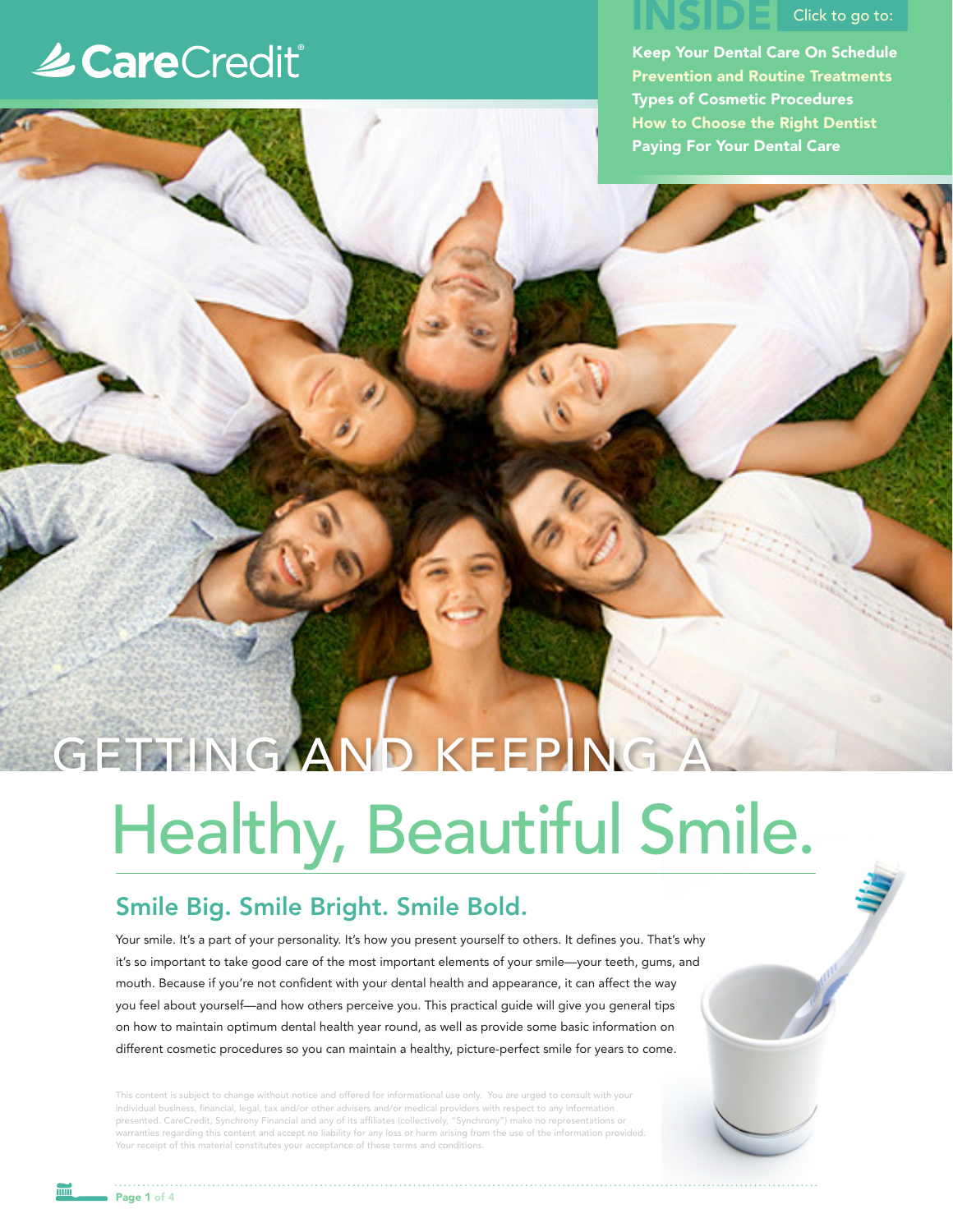# **Le CareCredit®**

# ISIDE Click to go to:

Keep Your Dental Care On Schedule Prevention and Routine Treatments Types of Cosmetic Procedures How to Choose the Right Dentist Paying For Your Dental Care

# Healthy, Beautiful Smile. GETTING AND KEEPING

## Smile Big. Smile Bright. Smile Bold.

Your smile. It's a part of your personality. It's how you present yourself to others. It defines you. That's why it's so important to take good care of the most important elements of your smile—your teeth, gums, and mouth. Because if you're not confident with your dental health and appearance, it can affect the way you feel about yourself—and how others perceive you. This practical guide will give you general tips on how to maintain optimum dental health year round, as well as provide some basic information on different cosmetic procedures so you can maintain a healthy, picture-perfect smile for years to come.

This content is subject to change without notice and offered for informational use only. You are urged to consult with your individual business, financial, legal, tax and/or other advisers and/or medical providers with respect to any information presented. CareCredit, Synchrony Financial and any of its affiliates (collectively, "Synchrony") make no representations or warranties regarding this content and accept no liability for any loss or harm arising from the use of the information provided. Your receipt of this material constitutes your acceptance of these terms and conditions.

Page 1 of 4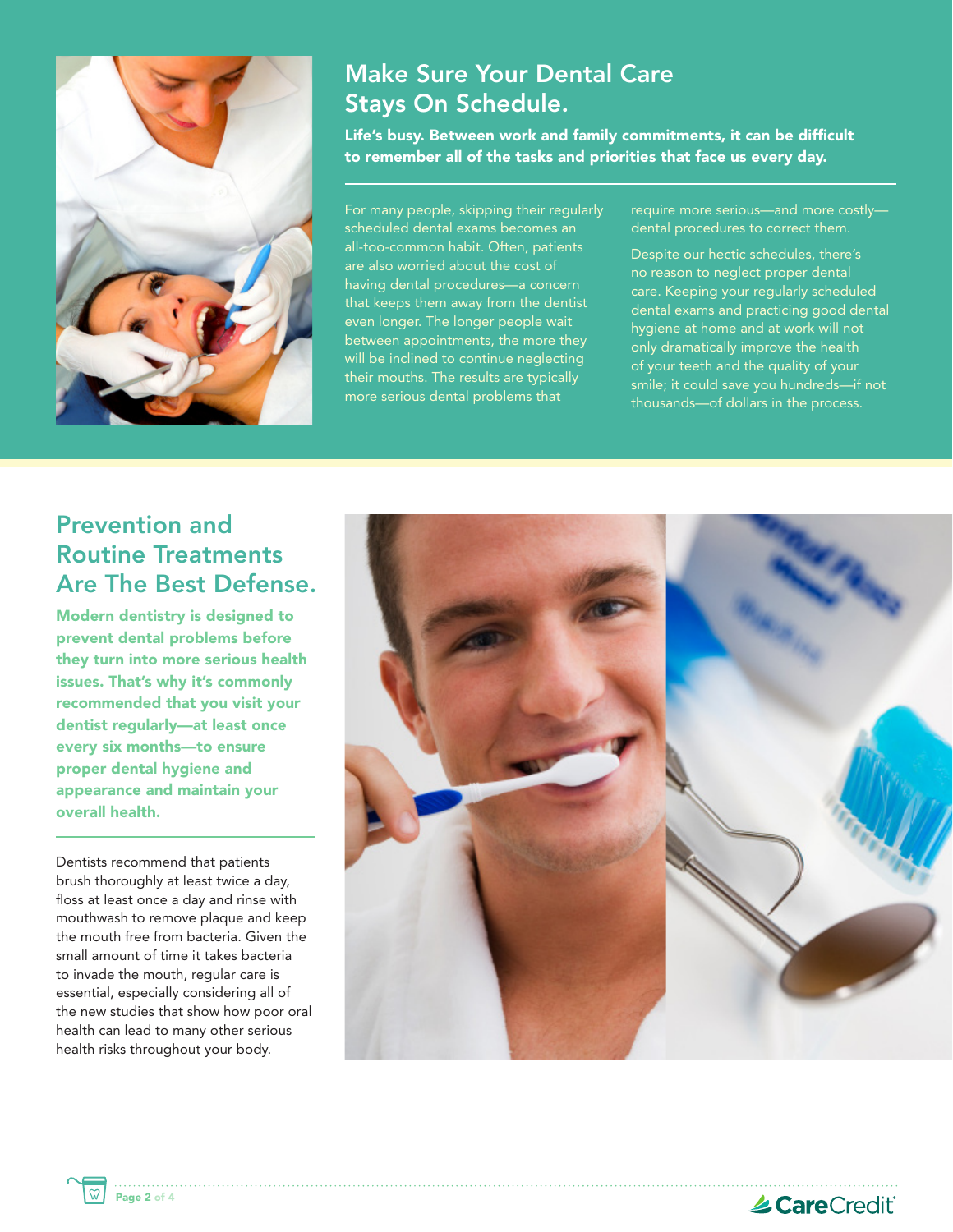

## Make Sure Your Dental Care Stays On Schedule.

Life's busy. Between work and family commitments, it can be difficult to remember all of the tasks and priorities that face us every day.

For many people, skipping their regularly scheduled dental exams becomes an all-too-common habit. Often, patients are also worried about the cost of having dental procedures—a concern that keeps them away from the dentist even longer. The longer people wait between appointments, the more they will be inclined to continue neglecting their mouths. The results are typically more serious dental problems that

require more serious—and more costly dental procedures to correct them.

Despite our hectic schedules, there's no reason to neglect proper dental care. Keeping your regularly scheduled dental exams and practicing good dental hygiene at home and at work will not only dramatically improve the health of your teeth and the quality of your smile; it could save you hundreds—if not thousands—of dollars in the process.

## Prevention and Routine Treatments Are The Best Defense.

Modern dentistry is designed to prevent dental problems before they turn into more serious health issues. That's why it's commonly recommended that you visit your dentist regularly—at least once every six months—to ensure proper dental hygiene and appearance and maintain your overall health.

Dentists recommend that patients brush thoroughly at least twice a day, floss at least once a day and rinse with mouthwash to remove plaque and keep the mouth free from bacteria. Given the small amount of time it takes bacteria to invade the mouth, regular care is essential, especially considering all of the new studies that show how poor oral health can lead to many other serious health risks throughout your body.

Page 2 of 4



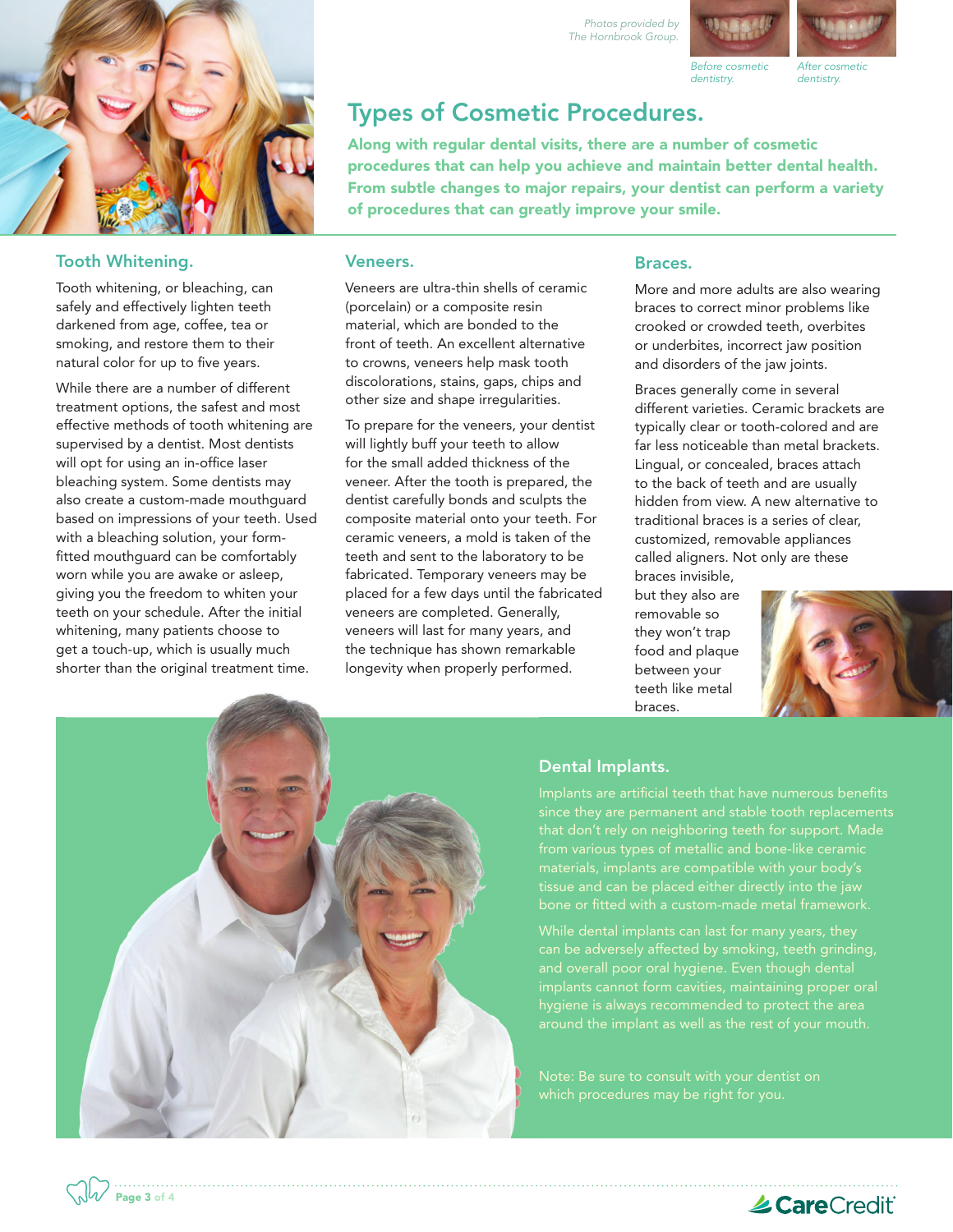

### Tooth Whitening.

Tooth whitening, or bleaching, can safely and effectively lighten teeth darkened from age, coffee, tea or smoking, and restore them to their natural color for up to five years.

While there are a number of different treatment options, the safest and most effective methods of tooth whitening are supervised by a dentist. Most dentists will opt for using an in-office laser bleaching system. Some dentists may also create a custom-made mouthguard based on impressions of your teeth. Used with a bleaching solution, your formfitted mouthguard can be comfortably worn while you are awake or asleep, giving you the freedom to whiten your teeth on your schedule. After the initial whitening, many patients choose to get a touch-up, which is usually much shorter than the original treatment time.

Page 3 of 4

# *Before cosmetic*

Types of Cosmetic Procedures. Along with regular dental visits, there are a number of cosmetic *dentistry.*

procedures that can help you achieve and maintain better dental health. From subtle changes to major repairs, your dentist can perform a variety of procedures that can greatly improve your smile.

*Photos provided by The Hornbrook Group.*

#### Veneers.

Veneers are ultra-thin shells of ceramic (porcelain) or a composite resin material, which are bonded to the front of teeth. An excellent alternative to crowns, veneers help mask tooth discolorations, stains, gaps, chips and other size and shape irregularities.

To prepare for the veneers, your dentist will lightly buff your teeth to allow for the small added thickness of the veneer. After the tooth is prepared, the dentist carefully bonds and sculpts the composite material onto your teeth. For ceramic veneers, a mold is taken of the teeth and sent to the laboratory to be fabricated. Temporary veneers may be placed for a few days until the fabricated veneers are completed. Generally, veneers will last for many years, and the technique has shown remarkable longevity when properly performed.

#### Braces.

More and more adults are also wearing braces to correct minor problems like crooked or crowded teeth, overbites or underbites, incorrect jaw position and disorders of the jaw joints.

Braces generally come in several different varieties. Ceramic brackets are typically clear or tooth-colored and are far less noticeable than metal brackets. Lingual, or concealed, braces attach to the back of teeth and are usually hidden from view. A new alternative to traditional braces is a series of clear, customized, removable appliances called aligners. Not only are these braces invisible,

but they also are removable so they won't trap food and plaque between your teeth like metal braces.





### Dental Implants.

Implants are artificial teeth that have numerous benefits that don't rely on neighboring teeth for support. Made from various types of metallic and bone-like ceramic

and overall poor oral hygiene. Even though dental implants cannot form cavities, maintaining proper oral hygiene is always recommended to protect the area



*After cosmetic dentistry.*